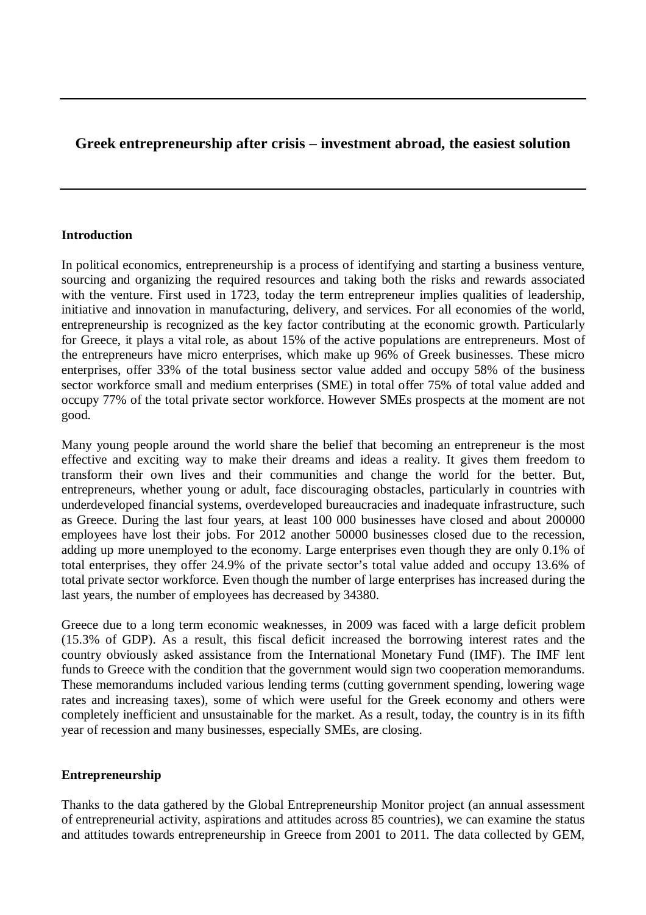# **Greek entrepreneurship after crisis – investment abroad, the easiest solution**

## **Introduction**

In political economics, entrepreneurship is a process of identifying and starting a business venture, sourcing and organizing the required resources and taking both the risks and rewards associated with the venture. First used in 1723, today the term entrepreneur implies qualities of leadership, initiative and innovation in manufacturing, delivery, and services. For all economies of the world, entrepreneurship is recognized as the key factor contributing at the economic growth. Particularly for Greece, it plays a vital role, as about 15% of the active populations are entrepreneurs. Most of the entrepreneurs have micro enterprises, which make up 96% of Greek businesses. These micro enterprises, offer 33% of the total business sector value added and occupy 58% of the business sector workforce small and medium enterprises (SME) in total offer 75% of total value added and occupy 77% of the total private sector workforce. However SMEs prospects at the moment are not good.

Many young people around the world share the belief that becoming an entrepreneur is the most effective and exciting way to make their dreams and ideas a reality. It gives them freedom to transform their own lives and their communities and change the world for the better. But, entrepreneurs, whether young or adult, face discouraging obstacles, particularly in countries with underdeveloped financial systems, overdeveloped bureaucracies and inadequate infrastructure, such as Greece. During the last four years, at least 100 000 businesses have closed and about 200000 employees have lost their jobs. For 2012 another 50000 businesses closed due to the recession, adding up more unemployed to the economy. Large enterprises even though they are only 0.1% of total enterprises, they offer 24.9% of the private sector's total value added and occupy 13.6% of total private sector workforce. Even though the number of large enterprises has increased during the last years, the number of employees has decreased by 34380.

Greece due to a long term economic weaknesses, in 2009 was faced with a large deficit problem (15.3% of GDP). As a result, this fiscal deficit increased the borrowing interest rates and the country obviously asked assistance from the International Monetary Fund (IMF). The IMF lent funds to Greece with the condition that the government would sign two cooperation memorandums. These memorandums included various lending terms (cutting government spending, lowering wage rates and increasing taxes), some of which were useful for the Greek economy and others were completely inefficient and unsustainable for the market. As a result, today, the country is in its fifth year of recession and many businesses, especially SMEs, are closing.

# **Entrepreneurship**

Thanks to the data gathered by the Global Entrepreneurship Monitor project (an annual assessment of entrepreneurial activity, aspirations and attitudes across 85 countries), we can examine the status and attitudes towards entrepreneurship in Greece from 2001 to 2011. The data collected by GEM,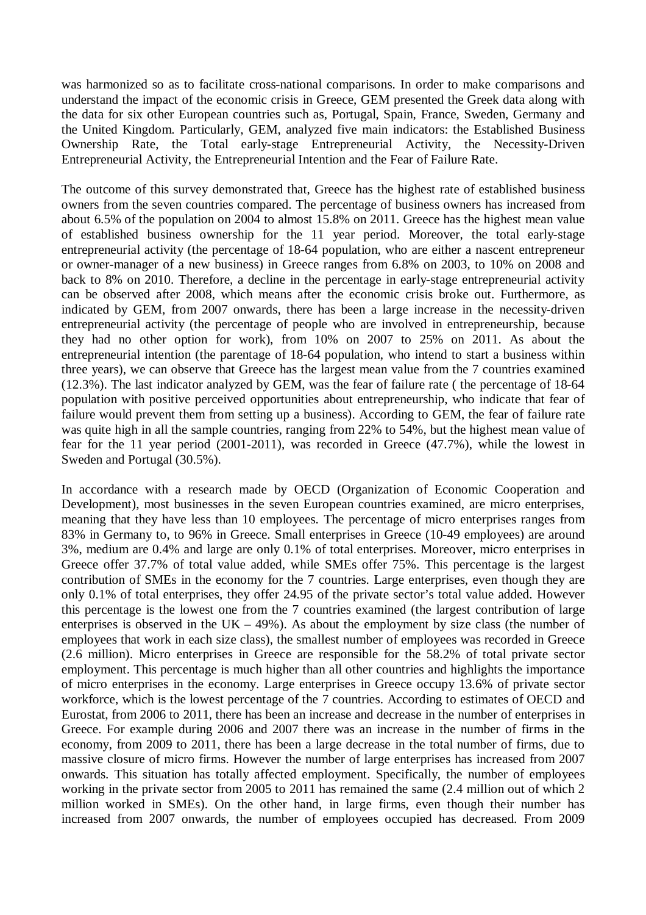was harmonized so as to facilitate cross-national comparisons. In order to make comparisons and understand the impact of the economic crisis in Greece, GEM presented the Greek data along with the data for six other European countries such as, Portugal, Spain, France, Sweden, Germany and the United Kingdom. Particularly, GEM, analyzed five main indicators: the Established Business Ownership Rate, the Total early-stage Entrepreneurial Activity, the Necessity-Driven Entrepreneurial Activity, the Entrepreneurial Intention and the Fear of Failure Rate.

The outcome of this survey demonstrated that, Greece has the highest rate of established business owners from the seven countries compared. The percentage of business owners has increased from about 6.5% of the population on 2004 to almost 15.8% on 2011. Greece has the highest mean value of established business ownership for the 11 year period. Moreover, the total early-stage entrepreneurial activity (the percentage of 18-64 population, who are either a nascent entrepreneur or owner-manager of a new business) in Greece ranges from 6.8% on 2003, to 10% on 2008 and back to 8% on 2010. Therefore, a decline in the percentage in early-stage entrepreneurial activity can be observed after 2008, which means after the economic crisis broke out. Furthermore, as indicated by GEM, from 2007 onwards, there has been a large increase in the necessity-driven entrepreneurial activity (the percentage of people who are involved in entrepreneurship, because they had no other option for work), from 10% on 2007 to 25% on 2011. As about the entrepreneurial intention (the parentage of 18-64 population, who intend to start a business within three years), we can observe that Greece has the largest mean value from the 7 countries examined (12.3%). The last indicator analyzed by GEM, was the fear of failure rate ( the percentage of 18-64 population with positive perceived opportunities about entrepreneurship, who indicate that fear of failure would prevent them from setting up a business). According to GEM, the fear of failure rate was quite high in all the sample countries, ranging from 22% to 54%, but the highest mean value of fear for the 11 year period (2001-2011), was recorded in Greece (47.7%), while the lowest in Sweden and Portugal (30.5%).

In accordance with a research made by OECD (Organization of Economic Cooperation and Development), most businesses in the seven European countries examined, are micro enterprises, meaning that they have less than 10 employees. The percentage of micro enterprises ranges from 83% in Germany to, to 96% in Greece. Small enterprises in Greece (10-49 employees) are around 3%, medium are 0.4% and large are only 0.1% of total enterprises. Moreover, micro enterprises in Greece offer 37.7% of total value added, while SMEs offer 75%. This percentage is the largest contribution of SMEs in the economy for the 7 countries. Large enterprises, even though they are only 0.1% of total enterprises, they offer 24.95 of the private sector's total value added. However this percentage is the lowest one from the 7 countries examined (the largest contribution of large enterprises is observed in the UK – 49%). As about the employment by size class (the number of employees that work in each size class), the smallest number of employees was recorded in Greece (2.6 million). Micro enterprises in Greece are responsible for the 58.2% of total private sector employment. This percentage is much higher than all other countries and highlights the importance of micro enterprises in the economy. Large enterprises in Greece occupy 13.6% of private sector workforce, which is the lowest percentage of the 7 countries. According to estimates of OECD and Eurostat, from 2006 to 2011, there has been an increase and decrease in the number of enterprises in Greece. For example during 2006 and 2007 there was an increase in the number of firms in the economy, from 2009 to 2011, there has been a large decrease in the total number of firms, due to massive closure of micro firms. However the number of large enterprises has increased from 2007 onwards. This situation has totally affected employment. Specifically, the number of employees working in the private sector from 2005 to 2011 has remained the same (2.4 million out of which 2 million worked in SMEs). On the other hand, in large firms, even though their number has increased from 2007 onwards, the number of employees occupied has decreased. From 2009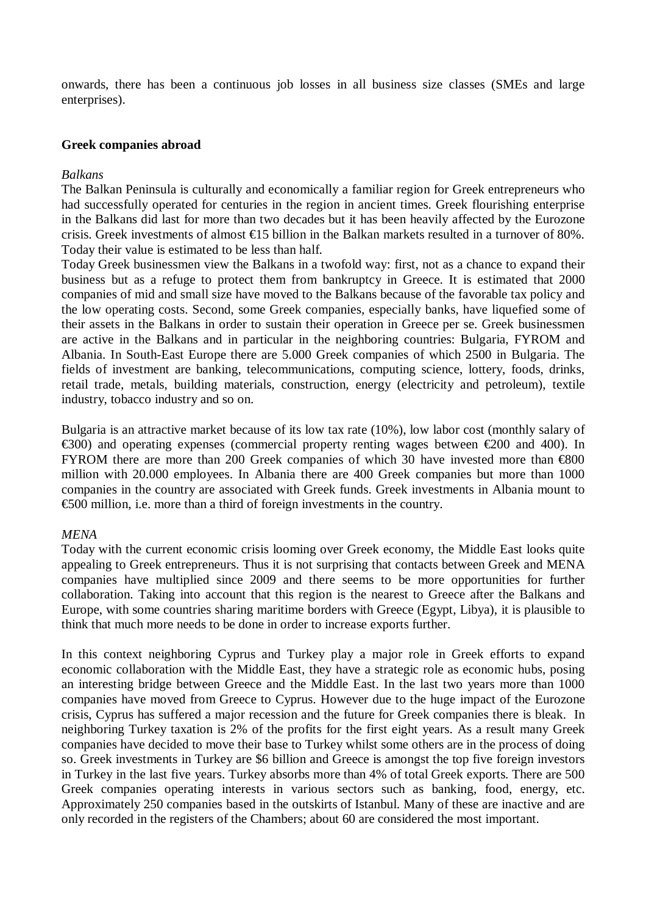onwards, there has been a continuous job losses in all business size classes (SMEs and large enterprises).

#### **Greek companies abroad**

#### *Balkans*

The Balkan Peninsula is culturally and economically a familiar region for Greek entrepreneurs who had successfully operated for centuries in the region in ancient times. Greek flourishing enterprise in the Balkans did last for more than two decades but it has been heavily affected by the Eurozone crisis. Greek investments of almost €15 billion in the Balkan markets resulted in a turnover of 80%. Today their value is estimated to be less than half.

Today Greek businessmen view the Balkans in a twofold way: first, not as a chance to expand their business but as a refuge to protect them from bankruptcy in Greece. It is estimated that 2000 companies of mid and small size have moved to the Balkans because of the favorable tax policy and the low operating costs. Second, some Greek companies, especially banks, have liquefied some of their assets in the Balkans in order to sustain their operation in Greece per se. Greek businessmen are active in the Balkans and in particular in the neighboring countries: Bulgaria, FYROM and Albania. In South-East Europe there are 5.000 Greek companies of which 2500 in Bulgaria. The fields of investment are banking, telecommunications, computing science, lottery, foods, drinks, retail trade, metals, building materials, construction, energy (electricity and petroleum), textile industry, tobacco industry and so on.

Bulgaria is an attractive market because of its low tax rate (10%), low labor cost (monthly salary of  $\epsilon$ 300) and operating expenses (commercial property renting wages between  $\epsilon$ 200 and 400). In FYROM there are more than 200 Greek companies of which 30 have invested more than €800 million with 20.000 employees. In Albania there are 400 Greek companies but more than 1000 companies in the country are associated with Greek funds. Greek investments in Albania mount to €500 million, i.e. more than a third of foreign investments in the country.

### *MENA*

Today with the current economic crisis looming over Greek economy, the Middle East looks quite appealing to Greek entrepreneurs. Thus it is not surprising that contacts between Greek and MENA companies have multiplied since 2009 and there seems to be more opportunities for further collaboration. Taking into account that this region is the nearest to Greece after the Balkans and Europe, with some countries sharing maritime borders with Greece (Egypt, Libya), it is plausible to think that much more needs to be done in order to increase exports further.

In this context neighboring Cyprus and Turkey play a major role in Greek efforts to expand economic collaboration with the Middle East, they have a strategic role as economic hubs, posing an interesting bridge between Greece and the Middle East. In the last two years more than 1000 companies have moved from Greece to Cyprus. However due to the huge impact of the Eurozone crisis, Cyprus has suffered a major recession and the future for Greek companies there is bleak. In neighboring Turkey taxation is 2% of the profits for the first eight years. As a result many Greek companies have decided to move their base to Turkey whilst some others are in the process of doing so. Greek investments in Turkey are \$6 billion and Greece is amongst the top five foreign investors in Turkey in the last five years. Turkey absorbs more than 4% of total Greek exports. There are 500 Greek companies operating interests in various sectors such as banking, food, energy, etc. Approximately 250 companies based in the outskirts of Istanbul. Many of these are inactive and are only recorded in the registers of the Chambers; about 60 are considered the most important.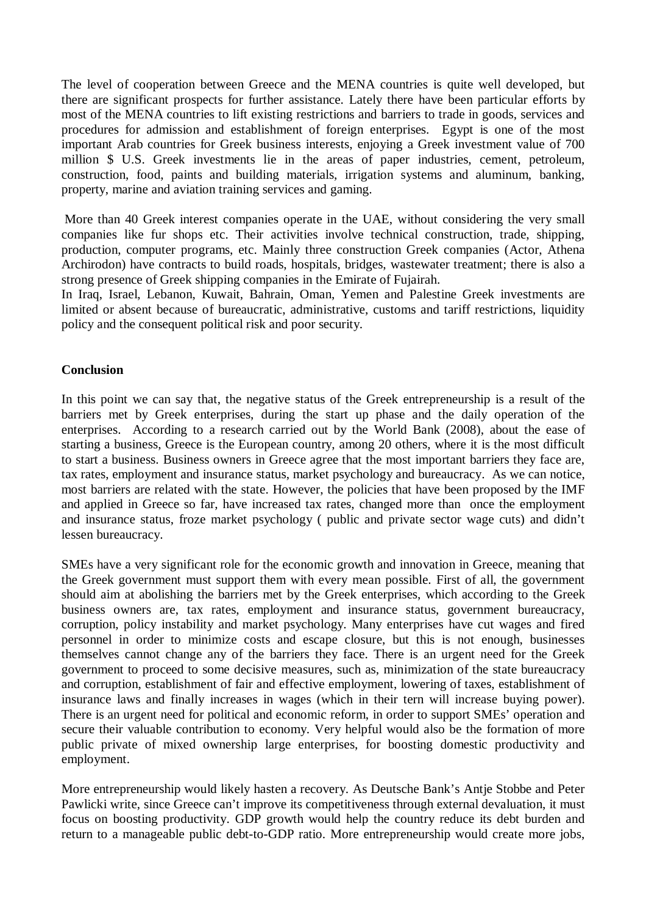The level of cooperation between Greece and the MENA countries is quite well developed, but there are significant prospects for further assistance. Lately there have been particular efforts by most of the MENA countries to lift existing restrictions and barriers to trade in goods, services and procedures for admission and establishment of foreign enterprises. Egypt is one of the most important Arab countries for Greek business interests, enjoying a Greek investment value of 700 million \$ U.S. Greek investments lie in the areas of paper industries, cement, petroleum, construction, food, paints and building materials, irrigation systems and aluminum, banking, property, marine and aviation training services and gaming.

More than 40 Greek interest companies operate in the UAE, without considering the very small companies like fur shops etc. Their activities involve technical construction, trade, shipping, production, computer programs, etc. Mainly three construction Greek companies (Actor, Athena Archirodon) have contracts to build roads, hospitals, bridges, wastewater treatment; there is also a strong presence of Greek shipping companies in the Emirate of Fujairah.

In Iraq, Israel, Lebanon, Kuwait, Bahrain, Oman, Yemen and Palestine Greek investments are limited or absent because of bureaucratic, administrative, customs and tariff restrictions, liquidity policy and the consequent political risk and poor security.

### **Conclusion**

In this point we can say that, the negative status of the Greek entrepreneurship is a result of the barriers met by Greek enterprises, during the start up phase and the daily operation of the enterprises. According to a research carried out by the World Bank (2008), about the ease of starting a business, Greece is the European country, among 20 others, where it is the most difficult to start a business. Business owners in Greece agree that the most important barriers they face are, tax rates, employment and insurance status, market psychology and bureaucracy. As we can notice, most barriers are related with the state. However, the policies that have been proposed by the IMF and applied in Greece so far, have increased tax rates, changed more than once the employment and insurance status, froze market psychology ( public and private sector wage cuts) and didn't lessen bureaucracy.

SMEs have a very significant role for the economic growth and innovation in Greece, meaning that the Greek government must support them with every mean possible. First of all, the government should aim at abolishing the barriers met by the Greek enterprises, which according to the Greek business owners are, tax rates, employment and insurance status, government bureaucracy, corruption, policy instability and market psychology. Many enterprises have cut wages and fired personnel in order to minimize costs and escape closure, but this is not enough, businesses themselves cannot change any of the barriers they face. There is an urgent need for the Greek government to proceed to some decisive measures, such as, minimization of the state bureaucracy and corruption, establishment of fair and effective employment, lowering of taxes, establishment of insurance laws and finally increases in wages (which in their tern will increase buying power). There is an urgent need for political and economic reform, in order to support SMEs' operation and secure their valuable contribution to economy. Very helpful would also be the formation of more public private of mixed ownership large enterprises, for boosting domestic productivity and employment.

More entrepreneurship would likely hasten a recovery. As Deutsche Bank's Antje Stobbe and Peter Pawlicki write, since Greece can't improve its competitiveness through external devaluation, it must focus on boosting productivity. GDP growth would help the country reduce its debt burden and return to a manageable public debt-to-GDP ratio. More entrepreneurship would create more jobs,